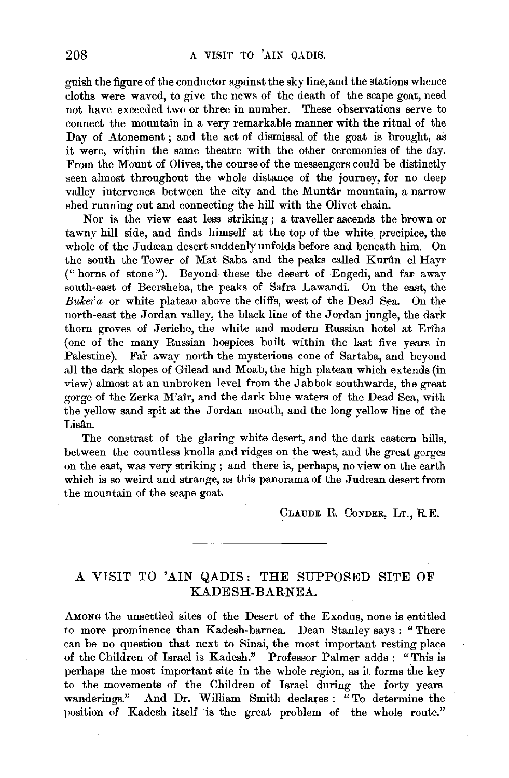guish the figure of the conductor against the sky line, and the stations whence cloths were waved, to give the news of the death of the scape goat, need not have exceeded two or three in number. These observations serve to connect the mountain in a very remarkable manner with the ritual of the Day of Atonement ; and the act of dismissal of the goat is brought, as it were, within the same theatre with the other ceremonies of the day. From the Mount of Olives, the course of the messengers could be distinctly seen almost throughout the whole distance of the journey, for no deep valley intervenes between the city and the Muntar mountain, a narrow shed running out and connecting the hill with the Olivet chain.

Nor is the view east less striking ; a traveller ascends the brown or tawny hill side, and finds himself at the top of the white precipice, the whole of the Judæan desert suddenly unfolds before and beneath him. On the south the Tower of Mat Saba and the peaks called Kurûn el Hayr ("horns of stone"). Beyond these the desert of Engedi, and far. away south-east of Beersheba, the peaks of Safra Lawandi. On the east, the *Bulcda* or white platean above the cliffs, west of the Dead Sea. On the north-east the Jordan valley, the black line of the Jordan jungle, the dark thorn groves of Jericho, the white and modern Russian hotel at Eriha (one of the many Russian hospices built within the last five years in Palestine). Far away north the mysterious cone of Sartaba, and beyond all the dark slopes of Gilead and Moab, the high plateau which extends (in view) almost at an unbroken level from the Jabbok southwards, the great gorge of the Zerka M'air, and the dark blue waters of the Dead Sea, with the yellow sand spit at the Jordan mouth, and the long yellow line of the Lisân.

The constrast of the glaring white desert, and the dark eastern hills, between the countless knolls and ridges on the west, and the great gorges on the east, was very striking ; and there is, perhaps, no view on the earth which is so weird and strange, as this panorama of the Judrean desert from the mountain of the scape goat.

CLAUDE R. CONDER, LT., R.E .

## A VISIT TO 'AIN QADIS: THE SUPPOSED SITE OF K.ADESH-BARNEA.

AMONG the unsettled sites of the Desert of the Exodus, none is entitled to more prominence than Kadesh-barnea. Dean Stanley says : "There can be no question that next to Sinai, the most important resting place of the Children of Israel is Kadesh." Professor Palmer adds : " This is perhaps the most important site in the whole region, as it forms the key to the movements of the Children of Israel during the forty years wanderings." And Dr. William Smith declares : "To determine the position of Kadesh itself is the great problem of the whole route."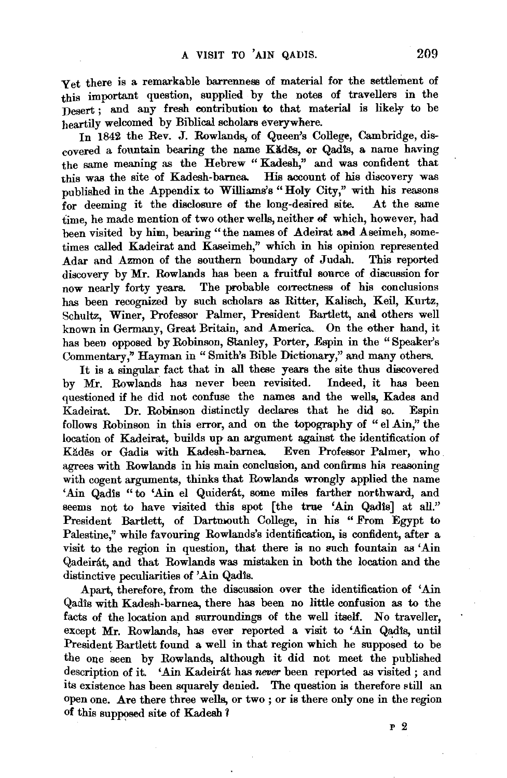yet there is a remarkable barrenness of material for the settlement of this :important question, supplied by the notes of travellers in the Desert : and any fresh contribution to that material is likely to be heartily welcomed by Biblical scholars everywhere.

In 1842 the Rev. J. Rowlands, of Queen's College, Cambridge, dis- $\overline{\text{cover}}$  a fountain bearing the name Kades, or Qadis, a name having the same meaning as the Hebrew "Kadesh," and was confident that this was the site of Kadesh-barnea. His account of his discovery was published in the Appendix to Williams's "Holy City," with his reasons for deeming it the disclosure of the long-desired site. At the same  $f_{\text{or}}$  deeming it the disclosure of the long-desired site. time, he made mention of two other wells, neither of which, however, had been visited by him, bearing "the names of Adeirat and Aseimeh, sometimes called Kadeirat and Kaseimeh,'' which in his opinion represented Adar and Azmon of the southern boundary of Judah. This reported discovery by Mr. Rowlands has been a fruitful source of discussion for now nearly forty years. The probable correctness of his conclusions has been recognized by such scholars as Ritter, Kalisch, Keil, Kurtz, Schultz, Winer, Professor Palmer, President Bartlett, and others well known in Germany, Great Britain, and America. On the 6ther hand, it has been opposed by Robinson, Stanley, Porter, Espin in the "Speaker's Commentary," Hayman in "Smith's Bible Dictionary," and many others.

It is a singular fact that in all these years the site thus discovered Mr. Rowlands has never been revisited. Indeed, it has been by Mr. Rowlands has never been revisited. questioned if he did not confuse the names and the wells, Kades and Kadeirat. Dr. Robinson distinctly declares that he did so. Espin Dr. Robinson distinctly declares that he did so. follows Robinson in this error, and on the topography of "el Ain," the location of Kadeirat, builds up an argument against the identification of Kădes or Gadis with Kadesh-barnea. agrees with Rowlands in his main conclusion, and confirms his reasoning with cogent arguments, thinks that Rowlands wrongly applied the name 'Ain Qadis "to 'Ain el Quiderat, some miles farther northward, and seems not to have visited this spot [the true 'Ain Qadis] at all." President Bartlett, of Dartmouth College, in his "From Egypt to Palestine," while favouring Rowlands's identification, is confident, after a visit to the region in question, that there is no such fountain as 'Ain Qadeirat, and that Rowlands was mistaken in both the location and the distinctive peculiarities of 'Ain Qadis.

Apart, therefore, from the discussion over the identification of 'Aiu Qadis with Kadesh-barnea, there has been no little confusion as to the facts of the location and surroundings of the well itself. No traveller, except Mr. Rowlands, has ever reported a visit to 'Ain Qadis, until President Bartlett found a well in that region which he supposed to be the one seen by Rowlands, although it did not meet the published description of it. 'Ain Kadeirat has *neoer* been reported as visited; and its existence has been squarely denied. The question is therefore still an open one. Are there three wells, or two ; or is there only one in the region of this supposed site of Kadesh ?

p 2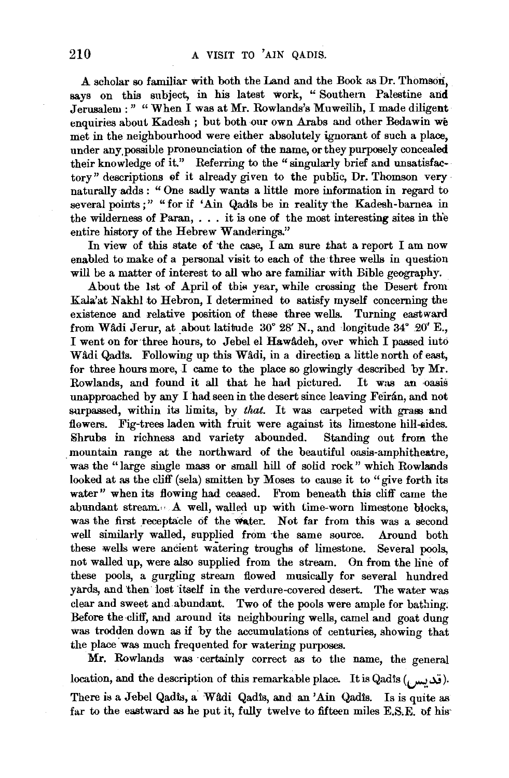A scholar so familiar with both the Land and the Book as Dr. Thomson, says on this subject, in his latest work, "Southern Palestine and Jerusalem : " " When I was at Mr. Rowlands's Muweilih, I made diligent enquiries about Kadesh; but both our own Arabs and other Bedawin we met in the neighbourhood were either absolutely ignorant of such a place, under any possible proneunciation of the name, or they purposely concealed their knowledge of it." Referring to the "singularly brief and unsatisfactory" descriptions of it already given to the public, Dr. Thomson very naturally adds : " One sadly wants a little more information in regard to several points;" "for if 'Ain Qadis be in reality the Kadesh-barnea in the wilderness of Paran,  $\dots$  it is one of the most interesting sites in the entire history of the Hebrew Wanderings."

In view of this state of 'the case, I am sure that a report I am now enabled to make of a personal visit to each of the three wells in question will be a matter of interest to all who are familiar with Bible geography.

About the 1st of April of this year, while crossing the Desert from Kala'at Nakhl to Hebron, I determined to satisfy myself concerning the existence and relative position of these three wells. Turning eastward from Wâdi Jerur, at about latitude 30° 28' N., and longitude 34° 20' E., I went on for three hours, to Jebel el Hawâdeh, over which I passed into Wâdi Qadis. Following up this Wâdi, in a direction a little north of east, for three hours more, I came to the place so glowingly described by  $Mr$ . Rowlands, and found it all that he had pictured. It was an oasis unapproached by any I had seen in the desert since leaving Ferran, and not surpassed, within its limits, by *that*. It was carpeted with grass and flowers. Fig-trees laden with fruit were against its limestone hill-sides. Shrubs in richness and variety abounded. Standing out from the . mountain range at the northward of the beautiful oasis-amphitheatre, was the "large single mass or small hill of solid rock" which Rowlands looked at as the cliff (sela) smitten by Moses to cause it to "give forth its water" when its flowing had ceased. From beneath this cliff came the abundant stream." A well, walled up with time-worn limestone biocks, was the first receptacle of the water. Not far from this was a second well similarly walled, supplied from the same source. Around both these wells were ancient watering troughs of limestone. Several pools, not walled up, were also supplied from the stream. On from the line of these pools, a gurgling stream flowed musically for several hundred yards, and then lost itself in the verdure-covered desert. The water was clear and sweet and abundant. Two of the pools were ample for bathing; Before the cliff, and around its neighbouring wells, camel and goat dung was trodden down as if by the accumulations of centuries, showing that the place was much frequented for watering purposes.

Mr. Rowlands was certainly correct as to the name, the general location, and the description of this remarkable place. It is Qadis  $($ قدیس). There is a Jebel Qadis, a Wâdi Qadis, and an 'Ain Qadis. Is is quite as far to the eastward as he put it, fully twelve to fifteen miles  $E.S.E.$  of his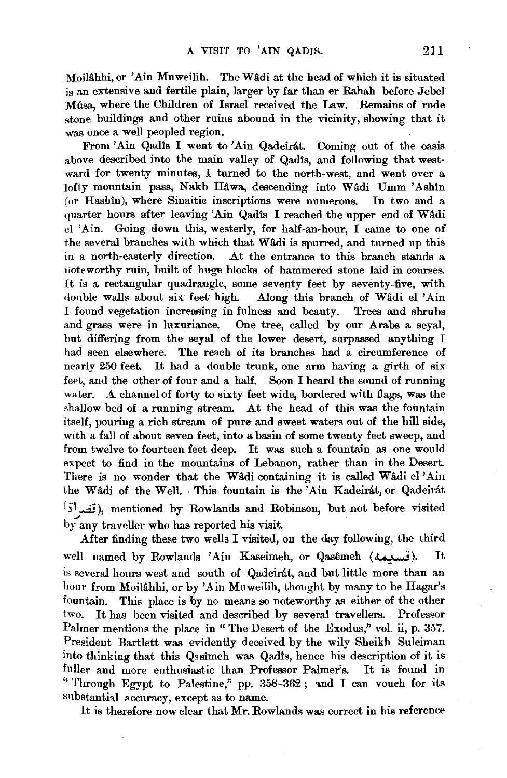Moilâhhi, or 'Ain Muweilih. The Wâdi at the bead of which it is situated is an extensive and fertile plain, larger by far than er Rahah before Jebel Musa, where the Children of Israel received the Law. Remains of rude stone buildings and other ruins abound in the vicinity, showing that it was once a well peopled region.

From 'Ain Qadis I went to 'Ain Qadeirat. Coming out of the oasis above described into the main valley of Qadts, and following that westward for twenty minutes, I turned to the north-west, and went over a lofty mountain pass, Nakb Hâwa, descending into Wâdi Umm 'Ashîn (or Hashtn), where Sinaitie inscriptions were numerous. In two and a quarter hours after leaving 'Ain Qadis I reached the upper end of Wadi  $\overrightarrow{e}$ l 'Ain. Going down this, westerly, for half-an-hour, I came to one of the several branches with which that Wadi is spurred, and turned up this in a north-easterly direction. At the entrance to this branch stands a lioteworthy ruin, built of huge blocks of hammered stone laid in courses. It is a rectangular quadrangle, some seventy feet by seventy-five, with double walls about six feet high. Along this branch of Wadi el 'Ain Along this branch of Wadi el 'Ain I found vegetation increasing in fulness and beauty. Trees and shrubs and grass were in luxuriance. One tree, called by our Arabs a seyal, but differing from the seyal of the lower desert, surpassed anything I had seen elsewhere. The reach of its branches had a circumference of nearly 250 feet. It had a double trunk, one arm having a girth of six feet, and the other of four and a half. Soon I heard the sound of running water. A channel of forty to sixty feet wide, bordered with flags, was the shallow bed of a running stream. At the head of this was the fountain itself, pouring a rich stream of pure and sweet waters out of the hill side, with a fall of about seven feet, into a basin of some twenty feet sweep, and from twelve to fourteen feet deep. It was such a fountain as one would expect to find in the mountains of Lebanon, rather than in the Desert. There is no wonder that the Wadi containing it is called Wadi el 'Ain the Wadi of the Well. This fountain is the Ain Kadeirat, or Qadeirat  $(\vec{s})$ , mentioned by Rowlands and Robinson, but not before visited by any traveller who has reported his visit.

After finding these two wells I visited, on the day following, the third well named by Rowlands 'Ain Kaseimeh, or Qasêmeh (فسلمة). It is several hours west and south of Qadeirat, and but little more than an hour from Moilahhi, or by 'Ain Muweilih, thought by many to be Hagar's fountain. This place is by no means so noteworthy as either of the other two. It has been visited and described by several travellers. Professor Palmer mentions the place in "The Desert of the Exodus," vol. ii, p. 357. President Bartlett was evidently deceived by the wily Sheikh Suleiman into thinking that this Q3simeh was Qadts, hence his description of it is fuller and more enthusiastic than Professor Palmer's. It is found in " Through Egypt to Palestine," pp.  $358-362$ ; and I can vouch for its substantial accuracy, except as to name.

It is therefore now clear that Mr. Rowlands was correct in his reference